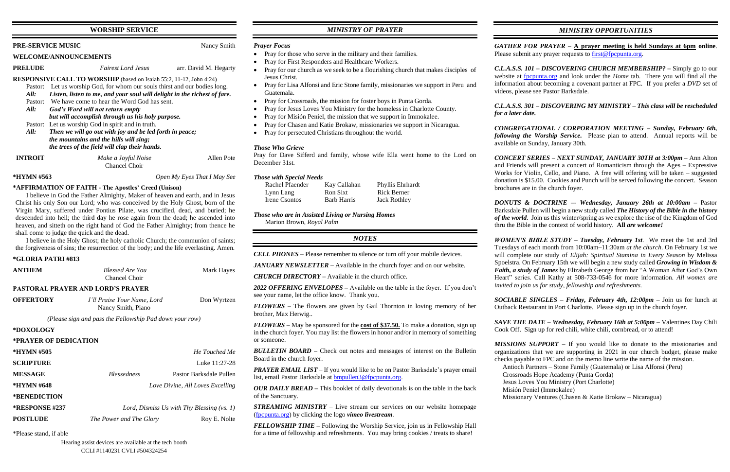### **WORSHIP SERVICE**

#### **PRE-SERVICE MUSIC** Nancy Smith

#### **WELCOME/ANNOUNCEMENTS**

**PRELUDE** *Fairest Lord Jesus* arr. David M. Hegarty

#### **RESPONSIVE CALL TO WORSHIP** (based on Isaiah 55:2, 11-12, John 4:24)

- Pastor: Let us worship God, for whom our souls thirst and our bodies long.
- *All: Listen, listen to me, and your soul will delight in the richest of fare.*
- Pastor: We have come to hear the Word God has sent.
- *All: God's Word will not return empty but will accomplish through us his holy purpose.*
- Pastor: Let us worship God in spirit and in truth.
- *All: Then we will go out with joy and be led forth in peace; the mountains and the hills will sing; the trees of the field will clap their hands.*

| <b>INTROIT</b> | Make a Joyful Noise  | Allen Pote |
|----------------|----------------------|------------|
|                | <b>Chancel Choir</b> |            |

| <b>ANTHEM</b> | <b>Blessed Are You</b> | Mark Hayes |
|---------------|------------------------|------------|
|               | Chancel Choir          |            |

#### **\*HYMN #563** *Open My Eyes That I May See*

## **\*AFFIRMATION OF FAITH - The Apostles' Creed (Unison)**

| <b>OFFERTORY</b> | I'll Praise Your Name, Lord | Don Wyrtzen |
|------------------|-----------------------------|-------------|
|                  | Nancy Smith, Piano          |             |

| *HYMN #505            |                                              | He Touched Me                    |
|-----------------------|----------------------------------------------|----------------------------------|
| <b>SCRIPTURE</b>      |                                              | Luke 11:27-28                    |
| <b>MESSAGE</b>        | <i>Blessedness</i>                           | Pastor Barksdale Pullen          |
| *HYMN #648            |                                              | Love Divine, All Loves Excelling |
| *BENEDICTION          |                                              |                                  |
| <b>*RESPONSE #237</b> | Lord, Dismiss Us with Thy Blessing $(vs. 1)$ |                                  |
| <b>POSTLUDE</b>       | The Power and The Glory                      | Roy E. Nolte                     |
|                       |                                              |                                  |

I believe in God the Father Almighty, Maker of heaven and earth, and in Jesus Christ his only Son our Lord; who was conceived by the Holy Ghost, born of the Virgin Mary, suffered under Pontius Pilate, was crucified, dead, and buried; he descended into hell; the third day he rose again from the dead; he ascended into heaven, and sitteth on the right hand of God the Father Almighty; from thence he shall come to judge the quick and the dead.

I believe in the Holy Ghost; the holy catholic Church; the communion of saints; the forgiveness of sins; the resurrection of the body; and the life everlasting. Amen.

#### **\*GLORIA PATRI #813**

### **PASTORAL PRAYER AND LORD'S PRAYER**

*(Please sign and pass the Fellowship Pad down your row)*

#### **\*DOXOLOGY**

#### **\*PRAYER OF DEDICATION**

\*Please stand, if able

# *MINISTRY OF PRAYER*

#### *Prayer Focus*

- Pray for those who serve in the military and their families.
- Pray for First Responders and Healthcare Workers.
- Pray for our church as we seek to be a flourishing church that makes disciples of Jesus Christ.
- Pray for Lisa Alfonsi and Eric Stone family, missionaries we support in Peru and Guatemala.
- Pray for Crossroads, the mission for foster boys in Punta Gorda.
- Pray for Jesus Loves You Ministry for the homeless in Charlotte County.
- Pray for Misión Peniel, the mission that we support in Immokalee.
- Pray for Chasen and Katie Brokaw, missionaries we support in Nicaragua.
- Pray for persecuted Christians throughout the world.

*GATHER FOR PRAYER –* **A prayer meeting is held Sundays at 6pm online**. Please submit any prayer requests to [first@fpcpunta.org.](about:blank)

#### *Those Who Grieve*

Pray for Dave Sifferd and family, whose wife Ella went home to the Lord on December 31st.

### *Those with Special Needs*

| Rachel Pfaender | Kay Callahan       | Phyllis Ehrhardt    |
|-----------------|--------------------|---------------------|
| Lynn Lang       | Ron Sixt           | Rick Berner         |
| Irene Csontos   | <b>Barb Harris</b> | <b>Jack Rothley</b> |

*Those who are in Assisted Living or Nursing Homes* Marion Brown, *Royal Palm*

#### *NOTES*

*CELL PHONES –* Please remember to silence or turn off your mobile devices.

*JANUARY NEWSLETTER –* Available in the church foyer and on our website.

*CHURCH DIRECTORY –* Available in the church office.

*2022 OFFERING ENVELOPES –* Available on the table in the foyer. If you don't see your name, let the office know. Thank you.

*FLOWERS* – The flowers are given by Gail Thornton in loving memory of her brother, Max Herwig..

*FLOWERS –* May be sponsored for the **cost of \$37.50.** To make a donation, sign up in the church foyer. You may list the flowers in honor and/or in memory of something or someone.

*BULLETIN BOARD –* Check out notes and messages of interest on the Bulletin Board in the church foyer.

*PRAYER EMAIL LIST* – If you would like to be on Pastor Barksdale's prayer email list, email Pastor Barksdale at **bmpullen3@fpcpunta.org**.

*OUR DAILY BREAD –* This booklet of daily devotionals is on the table in the back of the Sanctuary.

*STREAMING MINISTRY –* Live stream our services on our website homepage [\(fpcpunta.org\)](about:blank) by clicking the logo *vimeo livestream.*

*FELLOWSHIP TIME –* Following the Worship Service, join us in Fellowship Hall for a time of fellowship and refreshments. You may bring cookies / treats to share!

# *MINISTRY OPPORTUNITIES*

*C.L.A.S.S. 101 – DISCOVERING CHURCH MEMBERSHIP? –* Simply go to our website at [fpcpunta.org](about:blank) and look under the *Home* tab. There you will find all the information about becoming a covenant partner at FPC. If you prefer a *DVD* set of videos, please see Pastor Barksdale.

*C.L.A.S.S. 301 – DISCOVERING MY MINISTRY – This class will be rescheduled* 

*for a later date.*

*CONGREGATIONAL / CORPORATION MEETING – Sunday, February 6th, following the Worship Service.* Please plan to attend. Annual reports will be available on Sunday, January 30th.

*CONCERT SERIES – NEXT SUNDAY, JANUARY 30TH at 3:00pm –* Ann Alton and Friends will present a concert of Romanticism through the Ages – Expressive Works for Violin, Cello, and Piano. A free will offering will be taken – suggested donation is \$15.00. Cookies and Punch will be served following the concert. Season brochures are in the church foyer.

*DONUTS & DOCTRINE –*- *Wednesday, January 26th at 10:00am –* Pastor Barksdale Pullen will begin a new study called *The History of the Bible in the history of the world*. Join us this winter/spring as we explore the rise of the Kingdom of God thru the Bible in the context of world history. **All** *are welcome!*

*WOMEN'S BIBLE STUDY – Tuesday, February 1st*. We meet the 1st and 3rd Tuesdays of each month from 10:00am–11:30am *at the church*. On February 1st we will complete our study of *Elijah: Spiritual Stamina in Every Season* by Melissa Spoelstra. On February 15th we will begin a new study called *Growing in Wisdom & Faith, a study of James* by Elizabeth George from her "A Woman After God's Own Heart" series. Call Kathy at 508-733-0546 for more information. *All women are invited to join us for study, fellowship and refreshments.*

*SOCIABLE SINGLES – Friday, February 4th, 12:00pm –* Join us for lunch at Outback Restaurant in Port Charlotte. Please sign up in the church foyer.

*SAVE THE DATE – Wednesday, February 16th at 5:00pm –* Valentines Day Chili Cook Off. Sign up for red chili, white chili, cornbread, or to attend!

*MISSIONS SUPPORT –* If you would like to donate to the missionaries and organizations that we are supporting in 2021 in our church budget, please make

checks payable to FPC and on the memo line write the name of the mission. Antioch Partners – Stone Family (Guatemala) or Lisa Alfonsi (Peru) Crossroads Hope Academy (Punta Gorda) Jesus Loves You Ministry (Port Charlotte) Misión Peniel (Immokalee) Missionary Ventures (Chasen & Katie Brokaw – Nicaragua)